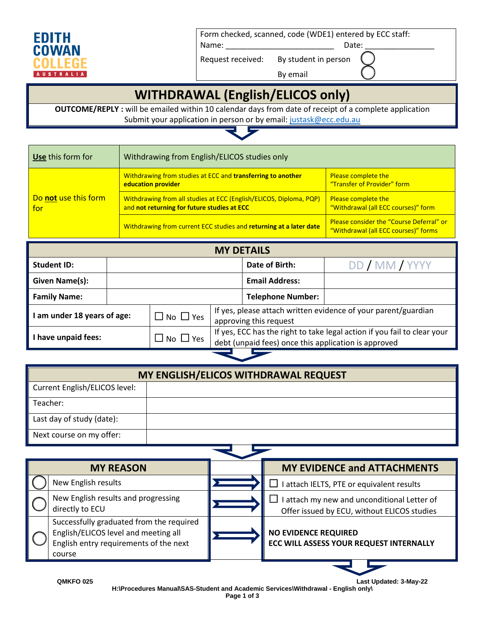

Form checked, scanned, code (WDE1) entered by ECC staff:

By email

Name: \_\_\_\_\_\_\_\_\_\_\_\_\_\_\_\_\_\_\_\_\_\_\_\_\_ Date: \_\_\_\_\_\_\_\_\_\_\_\_\_\_\_\_

Request received: By student in person

## **WITHDRAWAL (English/ELICOS only)**

**OUTCOME/REPLY :** will be emailed within 10 calendar days from date of receipt of a complete application Submit your application in person or by email[: justask@ecc.edu.au](mailto:justask@ecc.edu.au)



| Use this form for           | Withdrawing from English/ELICOS studies only                                                                      |                                                                                  |
|-----------------------------|-------------------------------------------------------------------------------------------------------------------|----------------------------------------------------------------------------------|
|                             | Withdrawing from studies at ECC and transferring to another<br>education provider                                 | <b>Please complete the</b><br>"Transfer of Provider" form                        |
| Do not use this form<br>for | Withdrawing from all studies at ECC (English/ELICOS, Diploma, PQP)<br>and not returning for future studies at ECC | <b>Please complete the</b><br>"Withdrawal (all ECC courses)" form                |
|                             | Withdrawing from current ECC studies and returning at a later date                                                | Please consider the "Course Deferral" or<br>"Withdrawal (all ECC courses)" forms |

| <b>MY DETAILS</b>         |                      |                                                                                          |                                                                                                                                  |                |
|---------------------------|----------------------|------------------------------------------------------------------------------------------|----------------------------------------------------------------------------------------------------------------------------------|----------------|
| Student ID:               |                      |                                                                                          | Date of Birth:                                                                                                                   | DD / MM / YYYY |
| Given Name(s):            |                      |                                                                                          | <b>Email Address:</b>                                                                                                            |                |
| <b>Family Name:</b>       |                      |                                                                                          | <b>Telephone Number:</b>                                                                                                         |                |
| am under 18 years of age: | $\Box$ No $\Box$ Yes | If yes, please attach written evidence of your parent/guardian<br>approving this request |                                                                                                                                  |                |
| I have unpaid fees:       | $\Box$ No $\Box$ Yes |                                                                                          | If yes, ECC has the right to take legal action if you fail to clear your<br>debt (unpaid fees) once this application is approved |                |

| <b>MY ENGLISH/ELICOS WITHDRAWAL REQUEST</b> |  |  |  |
|---------------------------------------------|--|--|--|
| Current English/ELICOS level:               |  |  |  |
| Teacher:                                    |  |  |  |
| Last day of study (date):                   |  |  |  |
| Next course on my offer:                    |  |  |  |

| <b>MY REASON</b> |                                                                                                                                      | <b>MY EVIDENCE and ATTACHMENTS</b>                                                         |
|------------------|--------------------------------------------------------------------------------------------------------------------------------------|--------------------------------------------------------------------------------------------|
|                  | New English results                                                                                                                  | I attach IELTS, PTE or equivalent results                                                  |
|                  | New English results and progressing<br>directly to ECU                                                                               | I attach my new and unconditional Letter of<br>Offer issued by ECU, without ELICOS studies |
|                  | Successfully graduated from the required<br>English/ELICOS level and meeting all<br>English entry requirements of the next<br>course | <b>NO EVIDENCE REQUIRED</b><br><b>ECC WILL ASSESS YOUR REQUEST INTERNALLY</b>              |

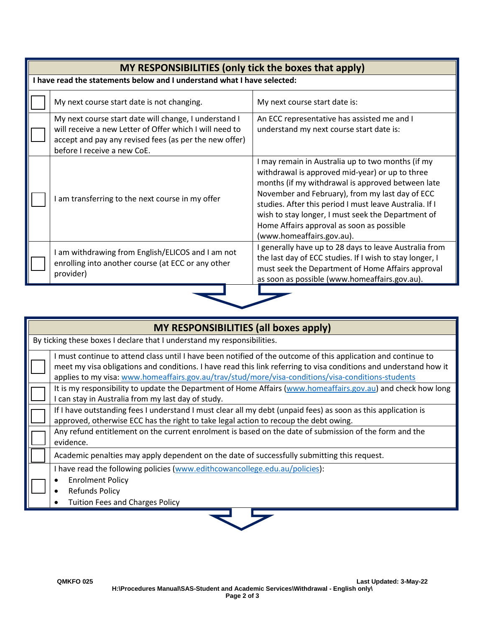| MY RESPONSIBILITIES (only tick the boxes that apply) |                                                                                                                                                                                                           |                                                                                                                                                                                                                                                                                                                                                                                                         |  |  |
|------------------------------------------------------|-----------------------------------------------------------------------------------------------------------------------------------------------------------------------------------------------------------|---------------------------------------------------------------------------------------------------------------------------------------------------------------------------------------------------------------------------------------------------------------------------------------------------------------------------------------------------------------------------------------------------------|--|--|
|                                                      | I have read the statements below and I understand what I have selected:                                                                                                                                   |                                                                                                                                                                                                                                                                                                                                                                                                         |  |  |
|                                                      | My next course start date is not changing.                                                                                                                                                                | My next course start date is:                                                                                                                                                                                                                                                                                                                                                                           |  |  |
|                                                      | My next course start date will change, I understand I<br>will receive a new Letter of Offer which I will need to<br>accept and pay any revised fees (as per the new offer)<br>before I receive a new CoE. | An ECC representative has assisted me and I<br>understand my next course start date is:                                                                                                                                                                                                                                                                                                                 |  |  |
|                                                      | am transferring to the next course in my offer                                                                                                                                                            | I may remain in Australia up to two months (if my<br>withdrawal is approved mid-year) or up to three<br>months (if my withdrawal is approved between late<br>November and February), from my last day of ECC<br>studies. After this period I must leave Australia. If I<br>wish to stay longer, I must seek the Department of<br>Home Affairs approval as soon as possible<br>(www.homeaffairs.gov.au). |  |  |
|                                                      | I am withdrawing from English/ELICOS and I am not<br>enrolling into another course (at ECC or any other<br>provider)                                                                                      | generally have up to 28 days to leave Australia from<br>the last day of ECC studies. If I wish to stay longer, I<br>must seek the Department of Home Affairs approval<br>as soon as possible (www.homeaffairs.gov.au).                                                                                                                                                                                  |  |  |